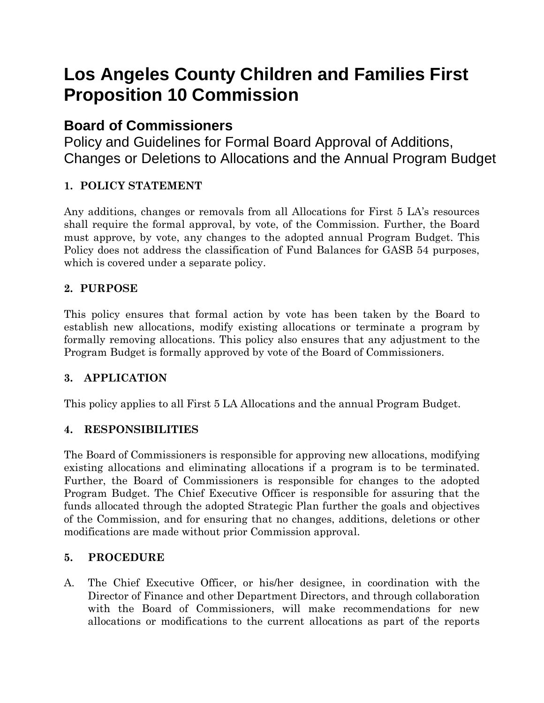# **Los Angeles County Children and Families First Proposition 10 Commission**

## **Board of Commissioners**

Policy and Guidelines for Formal Board Approval of Additions, Changes or Deletions to Allocations and the Annual Program Budget

## **1. POLICY STATEMENT**

Any additions, changes or removals from all Allocations for First 5 LA's resources shall require the formal approval, by vote, of the Commission. Further, the Board must approve, by vote, any changes to the adopted annual Program Budget. This Policy does not address the classification of Fund Balances for GASB 54 purposes, which is covered under a separate policy.

#### **2. PURPOSE**

This policy ensures that formal action by vote has been taken by the Board to establish new allocations, modify existing allocations or terminate a program by formally removing allocations. This policy also ensures that any adjustment to the Program Budget is formally approved by vote of the Board of Commissioners.

## **3. APPLICATION**

This policy applies to all First 5 LA Allocations and the annual Program Budget.

#### **4. RESPONSIBILITIES**

The Board of Commissioners is responsible for approving new allocations, modifying existing allocations and eliminating allocations if a program is to be terminated. Further, the Board of Commissioners is responsible for changes to the adopted Program Budget. The Chief Executive Officer is responsible for assuring that the funds allocated through the adopted Strategic Plan further the goals and objectives of the Commission, and for ensuring that no changes, additions, deletions or other modifications are made without prior Commission approval.

#### **5. PROCEDURE**

A. The Chief Executive Officer, or his/her designee, in coordination with the Director of Finance and other Department Directors, and through collaboration with the Board of Commissioners, will make recommendations for new allocations or modifications to the current allocations as part of the reports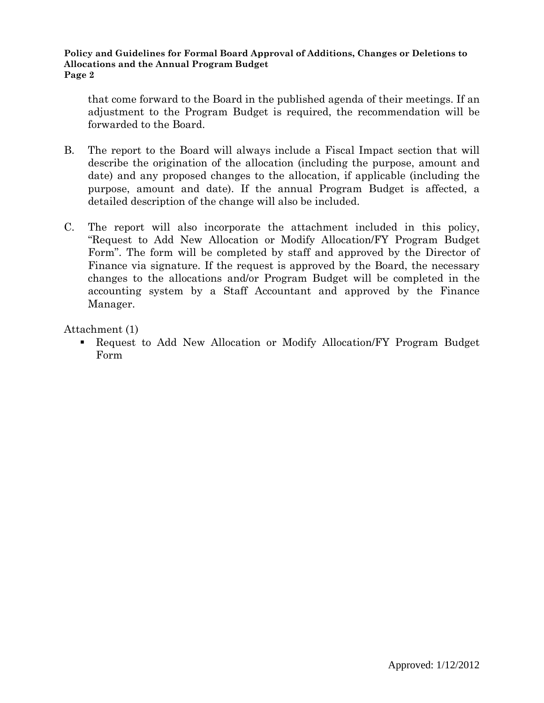#### **Policy and Guidelines for Formal Board Approval of Additions, Changes or Deletions to Allocations and the Annual Program Budget Page 2**

that come forward to the Board in the published agenda of their meetings. If an adjustment to the Program Budget is required, the recommendation will be forwarded to the Board.

- B. The report to the Board will always include a Fiscal Impact section that will describe the origination of the allocation (including the purpose, amount and date) and any proposed changes to the allocation, if applicable (including the purpose, amount and date). If the annual Program Budget is affected, a detailed description of the change will also be included.
- C. The report will also incorporate the attachment included in this policy, "Request to Add New Allocation or Modify Allocation/FY Program Budget Form". The form will be completed by staff and approved by the Director of Finance via signature. If the request is approved by the Board, the necessary changes to the allocations and/or Program Budget will be completed in the accounting system by a Staff Accountant and approved by the Finance Manager.

Attachment (1)

 Request to Add New Allocation or Modify Allocation/FY Program Budget Form